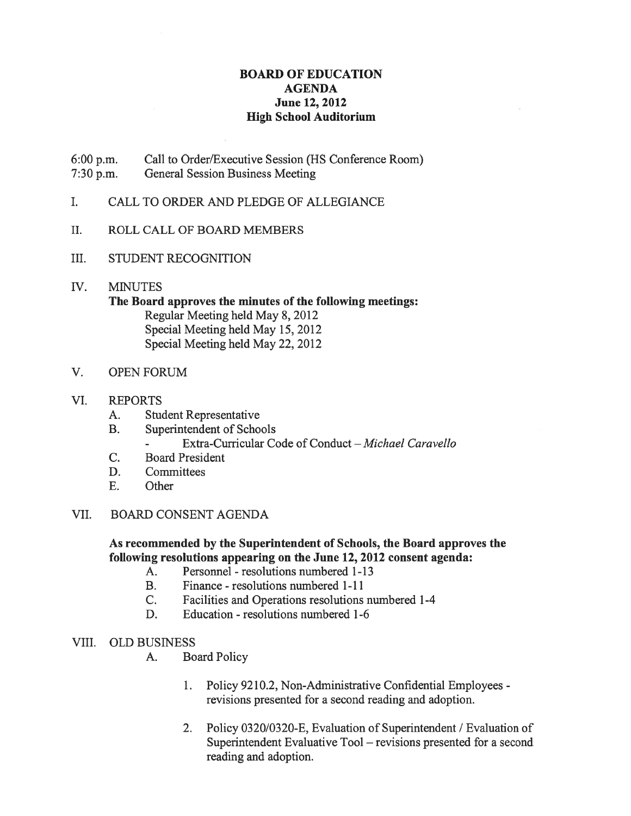## BOARD OF EDUCATION AGENDA June 12, 2012 High School Auditorium

- 6:00 p.m. Call to Order/Executive Session (HS Conference Room) 7:30 p.m. General Session Business Meeting
- I. CALL TO ORDER AND PLEDGE OF ALLEGIANCE
- II. ROLL CALL OF BOARD MEMBERS
- III. STUDENT RECOGNITION
- IV. MINUTES

## The Board approves the minutes of the following meetings: Regular Meeting held May 8, 2012 Special Meeting held May 15, 2012 Special Meeting held May 22, 2012

V. OPEN FORUM

## VI. REPORTS

- A. Student Representative
- B. Superintendent of Schools
	- Extra-Curricular Code of Conduct Michael Caravello
- C. Board President
- D. Committees
- E. Other

## VII. BOARD CONSENT AGENDA

## As recommended by the Superintendent of Schools, the Board approves the following resolutions appearing on the June 12, 2012 consent agenda:

- A. Personnel resolutions numbered 1-13
- B. Finance resolutions numbered 1-11
- C. Facilities and Operations resolutions numbered 1-4
- D. Education resolutions numbered 1-6
- VIII. OLD BUSINESS
	- A. Board Policy
		- 1. Policy 9210.2, Non-Administrative Confidential Employees revisions presented for <sup>a</sup> second reading and adoption.
		- 2. Policy 0320/0320-E, Evaluation of Superintendent / Evaluation of Superintendent Evaluative Tool — revisions presented for <sup>a</sup> second reading and adoption.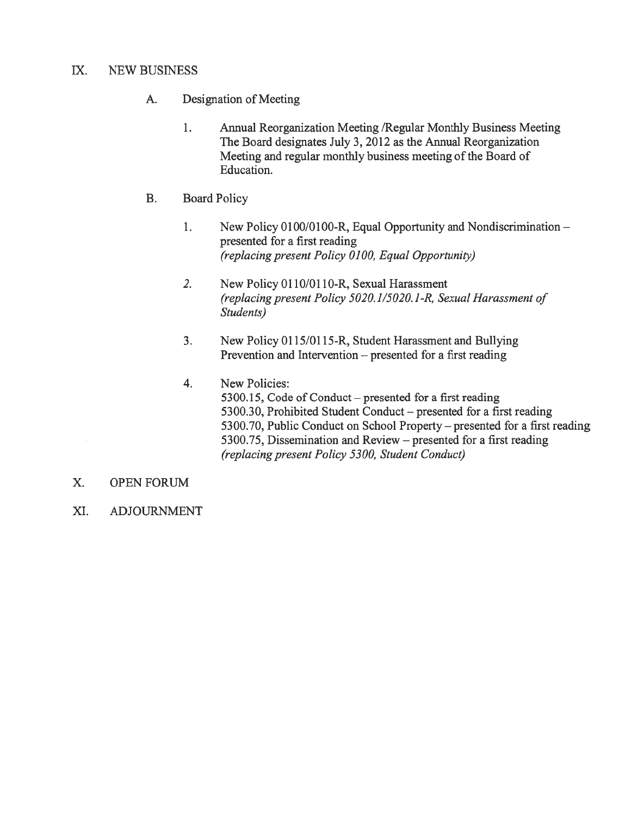## IX. NEW BUSINESS

- A. Designation of Meeting
	- 1. Annual Reorganization Meeting /Regular Monthly Business Meeting The Board designates July 3, 2012 as the Annual Reorganization Meeting and regular monthly business meeting of the Board of Education.
- B. Board Policy
	- 1. New Policy 0100/0100-R, Equal Opportunity and Nondiscrimination presented for <sup>a</sup> first reading (replacing presen<sup>t</sup> Policy 0100, Equal Opportunity)
	- 2. New Policy 0110/0l10-R, Sexual Harassment (replacing presen<sup>t</sup> Policy 5020.1/5020. 1-R, Sexual Harassment of Students)
	- 3. New Policy 0115/01 15-R, Student Harassment and Bullying Prevention and Intervention — presented for <sup>a</sup> first reading
	- 4. New Policies: 5300.15, Code of Conduct — presented for <sup>a</sup> first reading 5300.30, Prohibited Student Conduct — presented for <sup>a</sup> first reading 5300.70, Public Conduct on School Property — presented for <sup>a</sup> first reading 5300.75, Dissemination and Review — presented for <sup>a</sup> first reading (replacing presen<sup>t</sup> Policy 5300, Student Conduct)
- X. OPEN FORUM
- XI. ADJOURNMENT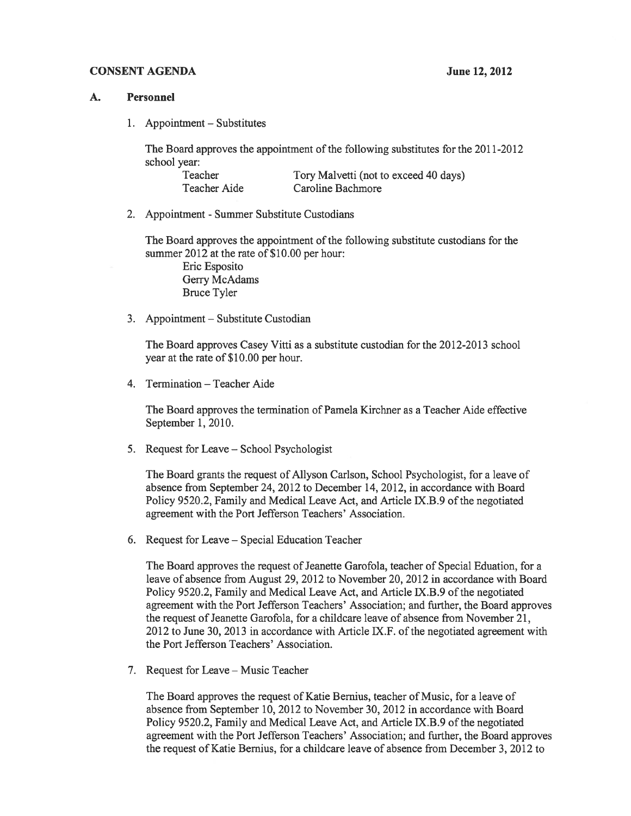#### CONSENT AGENDA June 12, 2012

#### A. Personnel

1. Appointment — Substitutes

The Board approves the appointment of the following substitutes for the 2011-2012 school year:

| Teacher      | Tory Malvetti (not to exceed 40 days) |
|--------------|---------------------------------------|
| Teacher Aide | Caroline Bachmore                     |

2. Appointment - Summer Substitute Custodians

The Board approves the appointment of the following substitute custodians for the summer 2012 at the rate of \$10.00 per hour:

Eric Esposito Gerry McAdams Bruce Tyler

3. Appointment — Substitute Custodian

The Board approves Casey Vitti as <sup>a</sup> substitute custodian for the 2012-2013 school year at the rate of \$10.00 per hour.

4. Termination — Teacher Aide

The Board approves the termination of Pamela Kirchner as <sup>a</sup> Teacher Aide effective September 1, 2010.

5. Request for Leave — School Psychologist

The Board grants the reques<sup>t</sup> of Allyson Carlson, School Psychologist, for <sup>a</sup> leave of absence from September 24, 2012 to December 14, 2012, in accordance with Board Policy 9520.2, Family and Medical Leave Act, and Article IX.B.9 of the negotiated agreemen<sup>t</sup> with the Port Jefferson Teachers' Association.

6. Request for Leave — Special Education Teacher

The Board approves the reques<sup>t</sup> of Jeanette Garofola, teacher of Special Eduation, for <sup>a</sup> leave of absence from August 29, 2012 to November 20, 2012 in accordance with Board Policy 9520.2, Family and Medical Leave Act, and Article JX.B.9 of the negotiated agreemen<sup>t</sup> with the Port Jefferson Teachers' Association; and further, the Board approves the request of Jeanette Garofola, for a childcare leave of absence from November 21, 2012 to June 30, 2013 in accordance with Article TX.F. of the negotiated agreemen<sup>t</sup> with the Port Jefferson Teachers' Association.

7. Request for Leave — Music Teacher

The Board approves the reques<sup>t</sup> of Katie Bernius, teacher of Music, for <sup>a</sup> leave of absence from September 10, 2012 to November 30, 2012 in accordance with Board Policy 9520.2, Family and Medical Leave Act, and Article IX.B.9 of the negotiated agreemen<sup>t</sup> with the Port Jefferson Teachers' Association; and further, the Board approves the reques<sup>t</sup> of Katie Bernius, for <sup>a</sup> childcare leave of absence from December 3, 2012 to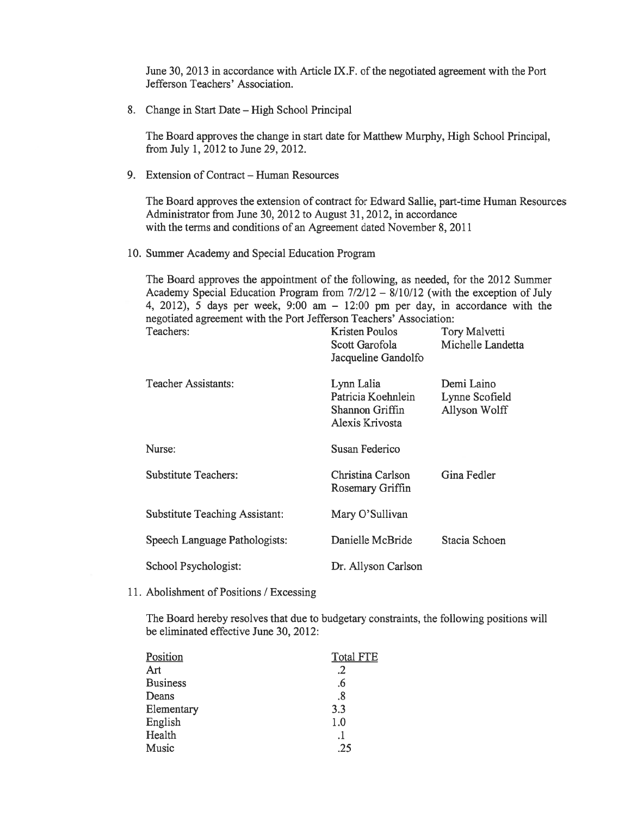June 30, 2013 in accordance with Article IX.F. of the negotiated agreemen<sup>t</sup> with the Port Jefferson Teachers' Association.

8. Change in Start Date — High School Principal

The Board approves the change in start date for Matthew Murphy, High School Principal, from July 1, 2012 to June 29, 2012.

9. Extension of Contract — Human Resources

The Board approves the extension of contract for Edward Sallie, part-time Human Resources Administrator from June 30, 2012 to August 31, 2012, in accordance with the terms and conditions of an Agreement dated November 8, 2011

10. Summer Academy and Special Education Program

The Board approves the appointment of the following, as needed, for the 2012 Summer Academy Special Education Program from 7/2/12 — 8/10/12 (with the exception of July 4, 2012), 5 days per week, 9:00 am — 12:00 pm per day, in accordance with the negotiated agreemen<sup>t</sup> with the Port Jefferson Teachers' Association:

| Teachers:                             | Kristen Poulos<br>Scott Garofola<br>Jacqueline Gandolfo                | Tory Malvetti<br>Michelle Landetta            |
|---------------------------------------|------------------------------------------------------------------------|-----------------------------------------------|
| Teacher Assistants:                   | Lynn Lalia<br>Patricia Koehnlein<br>Shannon Griffin<br>Alexis Krivosta | Demi Laino<br>Lynne Scofield<br>Allyson Wolff |
| Nurse:                                | Susan Federico                                                         |                                               |
| <b>Substitute Teachers:</b>           | Christina Carlson<br>Rosemary Griffin                                  | Gina Fedler                                   |
| <b>Substitute Teaching Assistant:</b> | Mary O'Sullivan                                                        |                                               |
| Speech Language Pathologists:         | Danielle McBride                                                       | Stacia Schoen                                 |
| School Psychologist:                  | Dr. Allyson Carlson                                                    |                                               |

11. Abolishment of Positions / Excessing

The Board hereby resolves that due to budgetary constraints, the following positions will be eliminated effective June 30, 2012:

| Position        | <b>Total FTE</b> |
|-----------------|------------------|
| Art             | .2               |
| <b>Business</b> | .6               |
| Deans           | .8               |
| Elementary      | 3.3              |
| English         | 1.0              |
| Health          | .1               |
| Music           | .25              |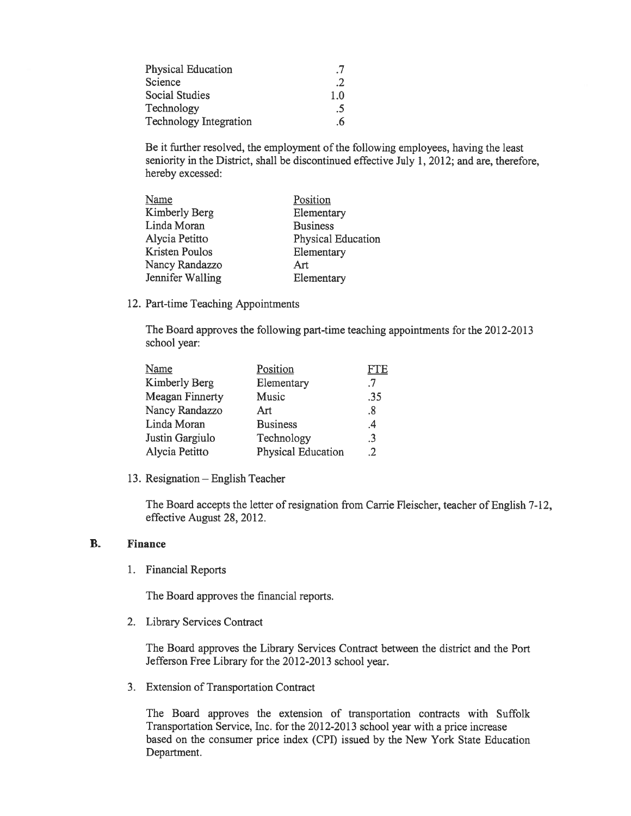| <b>Physical Education</b>     | .7  |
|-------------------------------|-----|
| Science                       | .2  |
| <b>Social Studies</b>         | 1.0 |
| Technology                    | .5  |
| <b>Technology Integration</b> | .6  |

Be it further resolved, the employment of the following employees, having the least seniority in the District, shall be discontinued effective July 1, 2012; and are, therefore, hereby excessed:

| Name                 | Position           |
|----------------------|--------------------|
| <b>Kimberly Berg</b> | Elementary         |
| Linda Moran          | <b>Business</b>    |
| Alycia Petitto       | Physical Education |
| Kristen Poulos       | Elementary         |
| Nancy Randazzo       | Art                |
| Jennifer Walling     | Elementary         |
|                      |                    |

12. Part-time Teaching Appointments

The Board approves the following part-time teaching appointments for the 2012-2013 school year:

| Name                   | Position                  | FTE |
|------------------------|---------------------------|-----|
| Kimberly Berg          | Elementary                | .7  |
| <b>Meagan Finnerty</b> | Music                     | .35 |
| Nancy Randazzo         | Art                       | .8  |
| Linda Moran            | <b>Business</b>           | .4  |
| Justin Gargiulo        | Technology                | .3  |
| Alycia Petitto         | <b>Physical Education</b> | .2  |

13. Resignation — English Teacher

The Board accepts the letter of resignation from Carrie Fleischer, teacher of English 7-12, effective August 28, 2012.

## B. Finance

1. Financial Reports

The Board approves the financial reports.

2. Library Services Contract

The Board approves the Library Services Contract between the district and the Port Jefferson Free Library for the 2012-2013 school year.

3. Extension of Transportation Contract

The Board approves the extension of transportation contracts with Suffolk Transportation Service, Inc. for the 2012-2013 school year with <sup>a</sup> price increase based on the consumer price index (CPI) issued by the New York State Education Department.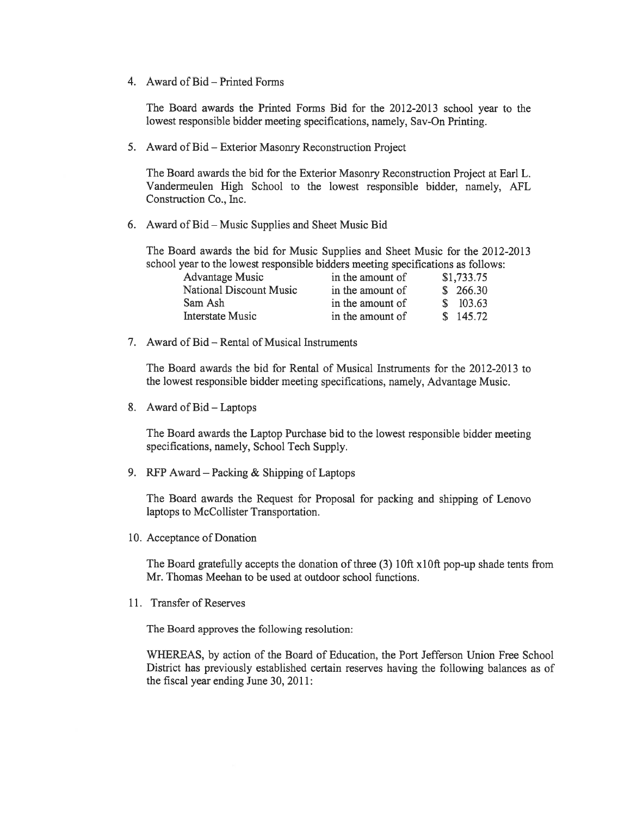4. Award of Bid — Printed Forms

The Board awards the Printed Forms Bid for the 2012-2013 school year to the lowest responsible bidder meeting specifications, namely, Say-On Printing.

5. Award of Bid — Exterior Masonry Reconstruction Project

The Board awards the bid for the Exterior Masonry Reconstruction Project at Earl L. Vandermeulen High School to the lowest responsible bidder, namely, AFL Construction Co., Inc.

6. Award of Bid — Music Supplies and Sheet Music Bid

The Board awards the bid for Music Supplies and Sheet Music for the 2012-2013 school year to the lowest responsible bidders meeting specifications as follows:

| <b>Advantage Music</b>  | in the amount of | \$1,733.75 |
|-------------------------|------------------|------------|
| National Discount Music | in the amount of | \$266.30   |
| Sam Ash                 | in the amount of | \$103.63   |
| <b>Interstate Music</b> | in the amount of | \$145.72   |

7. Award of Bid – Rental of Musical Instruments

The Board awards the bid for Rental of Musical Instruments for the 2012-2013 to the lowest responsible bidder meeting specifications, namely, Advantage Music.

8. Award of Bid — Laptops

The Board awards the Laptop Purchase bid to the lowest responsible bidder meeting specifications, namely, School Tech Supply.

9. RFP Award — Packing & Shipping of Laptops

The Board awards the Request for Proposal for packing and shipping of Lenovo laptops to McCollister Transportation.

10. Acceptance of Donation

The Board gratefully accepts the donation of three (3) 10ft x10ft pop-up shade tents from Mr. Thomas Meehan to be used at outdoor school functions.

11. Transfer of Reserves

The Board approves the following resolution:

WHEREAS, by action of the Board of Education, the Port Jefferson Union Free School District has previously established certain reserves having the following balances as of the fiscal year ending June 30, 2011: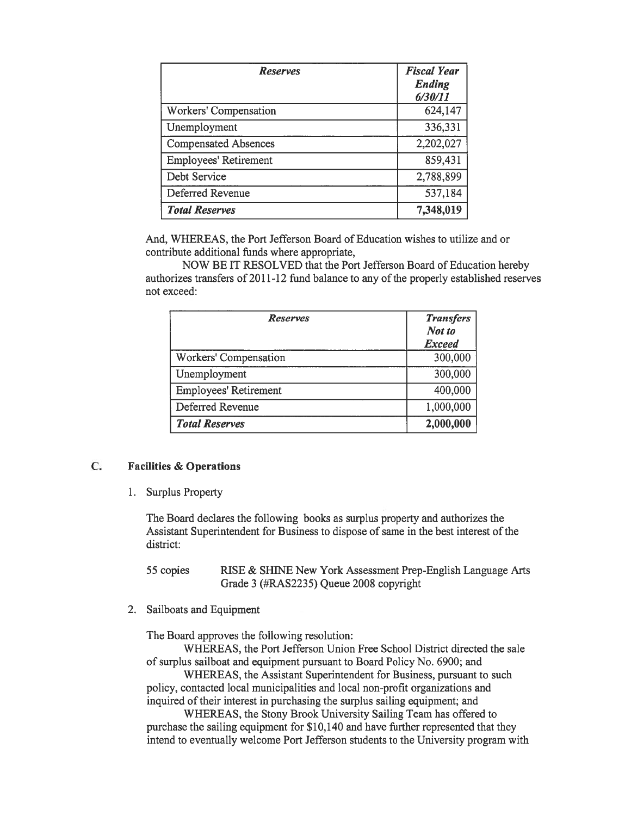| <b>Reserves</b>              | <b>Fiscal Year</b><br>Ending<br>6/30/11 |
|------------------------------|-----------------------------------------|
| Workers' Compensation        | 624,147                                 |
| Unemployment                 | 336,331                                 |
| <b>Compensated Absences</b>  | 2,202,027                               |
| <b>Employees' Retirement</b> | 859,431                                 |
| Debt Service                 | 2,788,899                               |
| Deferred Revenue             | 537,184                                 |
| <b>Total Reserves</b>        | 7,348,019                               |

And, WHEREAS, the Port Jefferson Board of Education wishes to utilize and or contribute additional funds where appropriate,

NOW BE IT RESOLVED that the Port Jefferson Board of Education hereby authorizes transfers of 2011-12 fund balance to any of the properly established reserves not exceed:

| <b>Reserves</b>              | <b>Transfers</b><br>Not to<br><b>Exceed</b> |
|------------------------------|---------------------------------------------|
| Workers' Compensation        | 300,000                                     |
| Unemployment                 | 300,000                                     |
| <b>Employees' Retirement</b> | 400,000                                     |
| Deferred Revenue             | 1,000,000                                   |
| <b>Total Reserves</b>        | 2,000,000                                   |

## C. Facilities & Operations

1. Surplus Property

The Board declares the following books as surplus property and authorizes the Assistant Superintendent for Business to dispose of same in the best interest of the district:

55 copies RISE & SHINE New York Assessment Prep-English Language Arts Grade 3 (#RAS2235) Queue 2008 copyright

2. Sailboats and Equipment

The Board approves the following resolution:

WHEREAS, the Port Jefferson Union Free School District directed the sale of surplus sailboat and equipment pursuan<sup>t</sup> to Board Policy No. 6900; and

WHEREAS, the Assistant Superintendent for Business, pursuan<sup>t</sup> to such policy, contacted local municipalities and local non-profit organizations and inquired of their interest in purchasing the surplus sailing equipment; and

WHEREAS, the Stony Brook University Sailing Team has offered to purchase the sailing equipment for \$10,140 and have further represented that they intend to eventually welcome Port Jefferson students to the University program with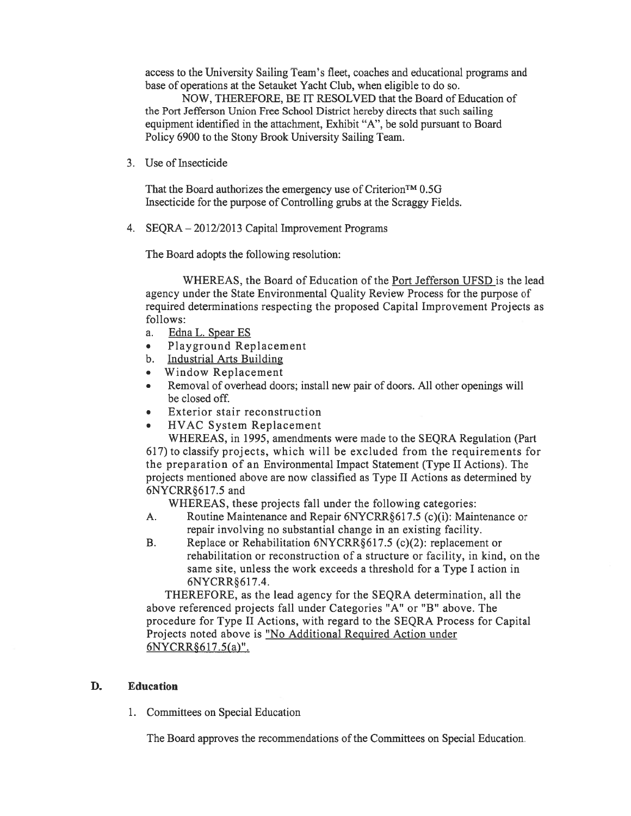access to the University Sailing Team's fleet, coaches and educational programs and base of operations at the Setauket Yacht Club, when eligible to do so.

NOW, THEREFORE, BE IT RESOLVED that the Board of Education of the Port Jefferson Union Free School District hereby directs that such sailing equipment identified in the attachment, Exhibit "A", be sold pursuan<sup>t</sup> to Board Policy 6900 to the Stony Brook University Sailing Team.

3. Use of Insecticide

That the Board authorizes the emergency use of Criterion<sup>TM</sup> 0.5G Insecticide for the purpose of Controlling grubs at the Scraggy Fields.

4. SEQRA — 20 12/2013 Capital Improvement Programs

The Board adopts the following resolution:

WHEREAS, the Board of Education of the Port Jefferson UFSD is the lead agency under the State Environmental Quality Review Process for the purpose of required determinations respecting the proposed Capital Improvement Projects as follows:

- a. Edna L. Spear ES
- •Playground Replacement
- b. Industrial Arts Building
- •Window Replacement
- • Removal of overhead doors; install new pair of doors. All other openings will be closed off.
- •Exterior stair reconstruction
- •HVAC System Replacement

WHEREAS, in 1995, amendments were made to the SEQRA Regulation (Part 617) to classify projects, which will be excluded from the requirements for the preparation of an Environmental Impact Statement (Type II Actions). The projects mentioned above are now classified as Type II Actions as determined by 6NYCRR617.5 and

WHEREAS, these projects fall under the following categories:

- A. Routine Maintenance and Repair 6NYCRR617.5 (c)(i): Maintenance or repair involving no substantial change in an existing facility.
- B. Replace or Rehabilitation 6NYCRR§ 617.5 (c)(2): replacement or rehabilitation or reconstruction of <sup>a</sup> structure or facility, in kind, on the same site, unless the work exceeds <sup>a</sup> threshold for <sup>a</sup> Type I action in 6NYCRR6 17.4.

THEREFORE, as the lead agency for the SEQRA determination, all the above referenced projects fall under Categories "A" or "B" above. The procedure for Type II Actions, with regard to the SEQRA Process for Capital Projects noted above is "No Additional Required Action under 6NYCRR§ 617.5(a)".

#### D. Education

1. Committees on Special Education

The Board approves the recommendations of the Committees on Special Education.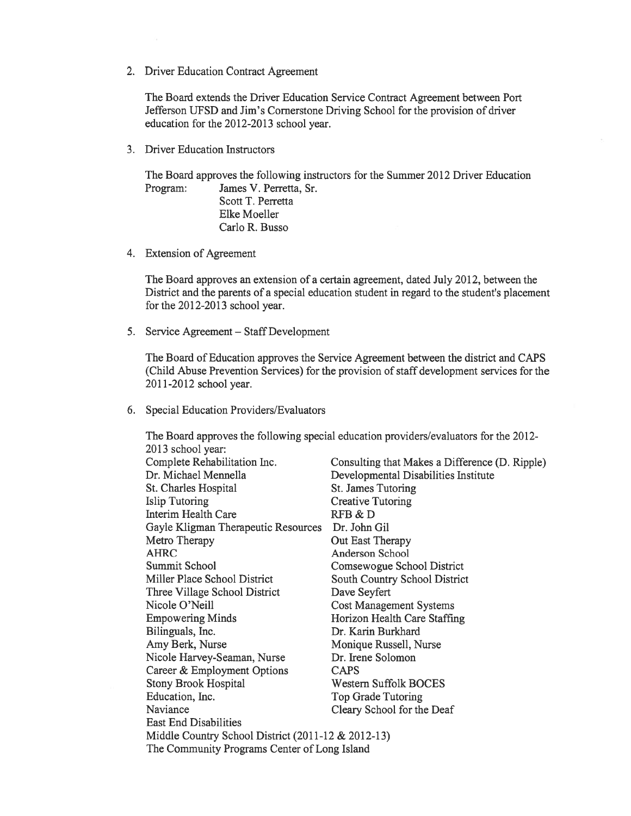2. Driver Education Contract Agreement

The Board extends the Driver Education Service Contract Agreement between Port Jefferson UFSD and Jim's Cornerstone Driving School for the provision of driver education for the 2012-2013 school year.

3. Driver Education Instructors

The Board approves the following instructors for the Summer 2012 Driver Education Program: James V. Perretta, Sr.

Scott T. Perretta Elke Moeller Carlo R. Busso

4. Extension of Agreement

The Board approves an extension of <sup>a</sup> certain agreement, dated July 2012, between the District and the parents of <sup>a</sup> special education student in regard to the student's placement for the 2012-2013 school year.

5. Service Agreement — Staff Development

The Board of Education approves the Service Agreement between the district and CAPS (Child Abuse Prevention Services) for the provision of staff development services for the 2011-2012 school year.

6. Special Education Providers/Evaluators

The Board approves the following special education providers/evaluators for the 2012- 2013 school year: Complete Rehabilitation Inc. Dr. Michael Mennella St. Charles Hospital Islip Tutoring Interim Health Care Gayle Kligman Therapeutic Resources Dr. John Gil Metro Therapy AHRC Summit School Miller Place School District Three Village School District Nicole O'Neill Empowering Minds Bilinguals, Inc. Amy Berk, Nurse Nicole Harvey-Seaman, Nurse Career & Employment Options Stony Brook Hospital Education, Inc. Naviance East End Disabilities Middle Country School District (2011-12 & 2012-13) The Community Programs Center of Long Island Consulting that Makes <sup>a</sup> Difference (D. Ripple) Developmental Disabilities Institute St. James Tutoring Creative Tutoring RFB&D Out East Therapy Anderson School Comsewogue School District South Country School District Dave Seyfert Cost Management Systems Horizon Health Care Staffing Dr. Karin Burkhard Monique Russell, Nurse Dr. Irene Solomon **CAPS** Western Suffolk BOCES Top Grade Tutoring Cleary School for the Deaf